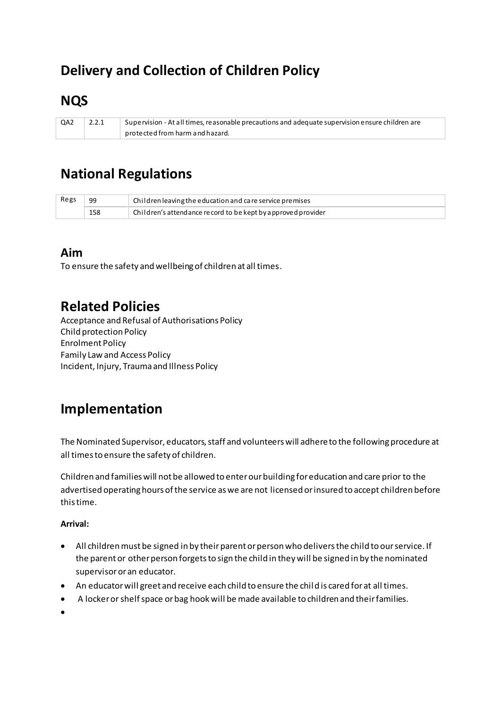# **Delivery and Collection of Children Policy**

## **NQS**

QA2  $2.2.1$ Supervision - At all times, reasonable precautions and adequate supervision ensure children are protected from harm and hazard.

## **National Regulations**

| Regs | 99  | Children leaving the education and care service premises              |
|------|-----|-----------------------------------------------------------------------|
|      | 158 | $\alpha$ Children's attendance record to be kept by approved provider |

#### Aim

To ensure the safety and wellbeing of children at all times.

### **Related Policies**

Acceptance and Refusal of Authorisations Policy **Child protection Policy Enrolment Policy Family Law and Access Policy** Incident, Injury, Trauma and Illness Policy

## Implementation

The Nominated Supervisor, educators, staff and volunteers will adhere to the following procedure at all times to ensure the safety of children.

Children and families will not be allowed to enter our building for education and care prior to the advertised operating hours of the service as we are not licensed or insured to accept children before this time.

#### **Arrival:**

- All children must be signed in by their parent or person who delivers the child to our service. If  $\bullet$ the parent or other person forgets to sign the child in they will be signed in by the nominated supervisor or an educator.
- An educator will greet and receive each child to ensure the child is cared for at all times.
- A locker or shelf space or bag hook will be made available to children and their families.  $\bullet$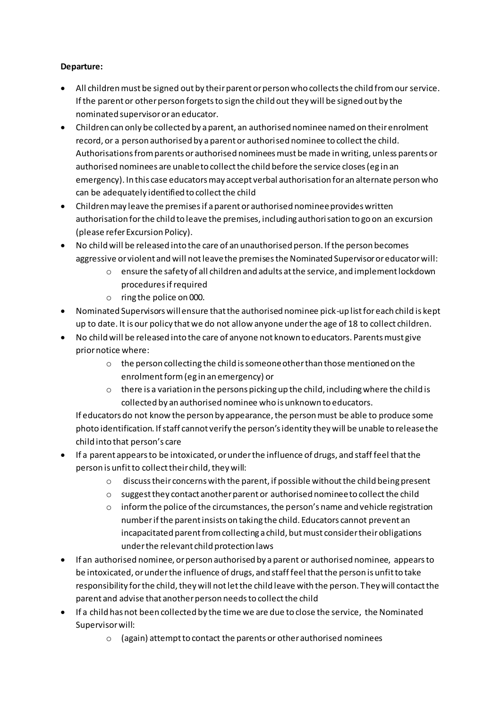#### **Departure:**

- All children must be signed out by their parent or person who collects the child from our service. If the parent or other person forgets to sign the child out they will be signed out by the nominated supervisor or an educator.
- Children can only be collected by a parent, an authorised nominee named on their enrolment record, or a person authorised by a parent or authorised nominee to collect the child. Authorisations from parents or authorised nominees must be made in writing, unless parents or authorised nominees are unable to collect the child before the service closes (eg in an emergency). In this case educators may accept verbal authorisation for an alternate person who can be adequately identified to collect the child
- Children may leave the premises if a parent or authorised nominee provides written authorisation for the child to leave the premises, including authorisation to go on an excursion (please refer Excursion Policy).
- No child will be released into the care of an unauthorised person. If the person becomes aggressive or violent and will not leave the premises the Nominated Supervisor or educator will:
	- o ensure the safety of all children and adults at the service, and implement lockdown procedures if required
	- o ring the police on 000.
- Nominated Supervisors will ensure that the authorised nominee pick-up list for each child is kept up to date. It is our policy that we do not allow anyone under the age of 18 to collect children.
- No child will be released into the care of anyone not known to educators. Parents must give prior notice where:
	- o the person collecting the child is someone other than those mentioned on the enrolment form (eg in an emergency) or
	- $\circ$  there is a variation in the persons picking up the child, including where the child is collected by an authorised nominee who is unknown to educators.

If educators do not know the person by appearance, the person must be able to produce some photo identification. If staff cannot verify the person's identity they will be unable to release the child into that person's care

- If a parent appears to be intoxicated, or under the influence of drugs, and staff feel that the person is unfit to collect their child, they will:
	- o discuss their concerns with the parent, if possible without the child being present
	- o suggest they contact another parent or authorised nominee to collect the child
	- $\circ$  inform the police of the circumstances, the person's name and vehicle registration number if the parent insists on taking the child. Educators cannot prevent an incapacitated parent from collecting a child, but must consider their obligations under the relevant child protection laws
- If an authorised nominee, or person authorised by a parent or authorised nominee, appears to be intoxicated, or under the influence of drugs, and staff feel that the person is unfit to take responsibility for the child, they will not let the child leave with the person. They will contact the parent and advise that another person needs to collect the child
- If a child has not been collected by the time we are due to close the service, the Nominated Supervisor will:
	- o (again) attempt to contact the parents or other authorised nominees